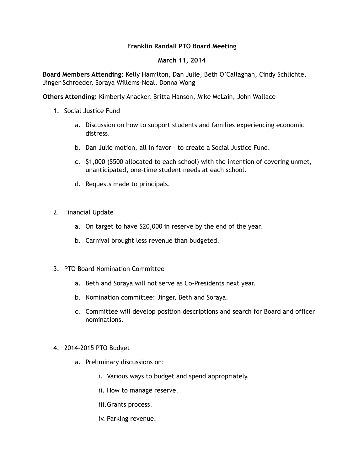## **Franklin Randall PTO Board Meeting**

## **March 11, 2014**

**Board Members Attending:** Kelly Hamilton, Dan Julie, Beth O'Callaghan, Cindy Schlichte, Jinger Schroeder, Soraya Willems-Neal, Donna Wong

**Others Attending:** Kimberly Anacker, Britta Hanson, Mike McLain, John Wallace

- 1. Social Justice Fund
	- a. Discussion on how to support students and families experiencing economic distress.
	- b. Dan Julie motion, all in favor to create a Social Justice Fund.
	- c. \$1,000 (\$500 allocated to each school) with the intention of covering unmet, unanticipated, one-time student needs at each school.
	- d. Requests made to principals.
- 2. Financial Update
	- a. On target to have \$20,000 in reserve by the end of the year.
	- b. Carnival brought less revenue than budgeted.
- 3. PTO Board Nomination Committee
	- a. Beth and Soraya will not serve as Co-Presidents next year.
	- b. Nomination committee: Jinger, Beth and Soraya.
	- c. Committee will develop position descriptions and search for Board and officer nominations.
- 4. 2014-2015 PTO Budget
	- a. Preliminary discussions on:
		- i. Various ways to budget and spend appropriately.
		- ii. How to manage reserve.
		- iii.Grants process.
		- iv. Parking revenue.